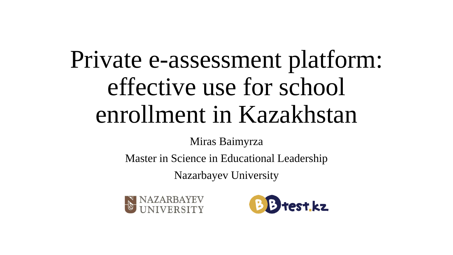# Private e-assessment platform: effective use for school enrollment in Kazakhstan

Miras Baimyrza

Master in Science in Educational Leadership

Nazarbayev University



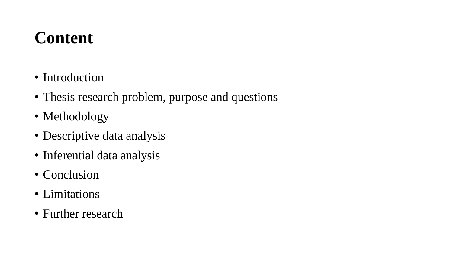#### **Content**

- Introduction
- Thesis research problem, purpose and questions
- Methodology
- Descriptive data analysis
- Inferential data analysis
- Conclusion
- Limitations
- Further research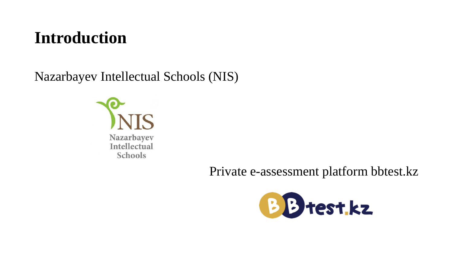#### **Introduction**

Nazarbayev Intellectual Schools (NIS)



Private e-assessment platform bbtest.kz

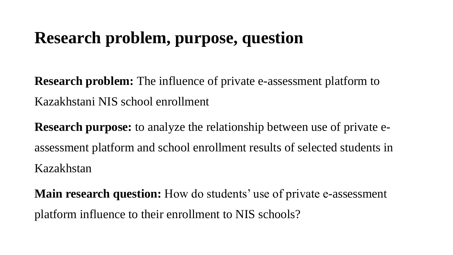#### **Research problem, purpose, question**

**Research problem:** The influence of private e-assessment platform to Kazakhstani NIS school enrollment

**Research purpose:** to analyze the relationship between use of private eassessment platform and school enrollment results of selected students in Kazakhstan

**Main research question:** How do students' use of private e-assessment platform influence to their enrollment to NIS schools?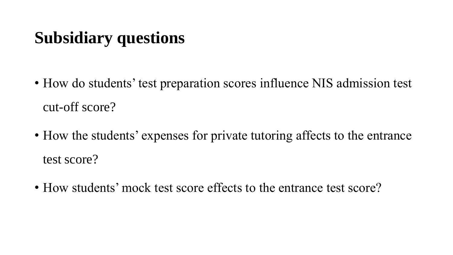## **Subsidiary questions**

- How do students' test preparation scores influence NIS admission test cut-off score?
- How the students' expenses for private tutoring affects to the entrance test score?
- How students' mock test score effects to the entrance test score?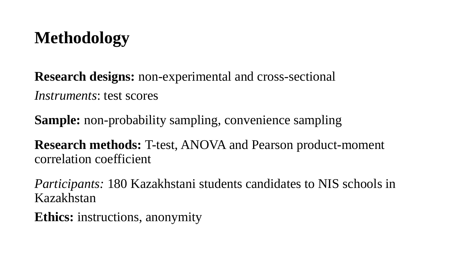## **Methodology**

**Research designs:** non-experimental and cross-sectional *Instruments*: test scores

**Sample:** non-probability sampling, convenience sampling

**Research methods:** T-test, ANOVA and Pearson product-moment correlation coefficient

*Participants:* 180 Kazakhstani students candidates to NIS schools in Kazakhstan

**Ethics:** instructions, anonymity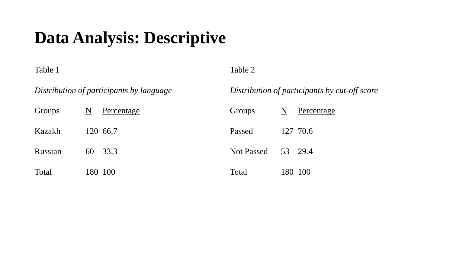#### **Data Analysis: Descriptive**

Table 1

*Distribution of participants by language*

Table 2

*Distribution of participants by cut-off score*

| Groups  | N | Percentage | Groups             | N | Percentage |
|---------|---|------------|--------------------|---|------------|
| Kazakh  |   | 120 66.7   | Passed             |   | 127 70.6   |
| Russian |   | 60 33.3    | Not Passed 53 29.4 |   |            |
| Total   |   | 180 100    | Total              |   | 180 100    |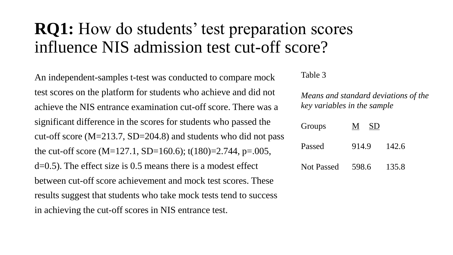#### **RQ1:** How do students' test preparation scores influence NIS admission test cut-off score?

An independent-samples t-test was conducted to compare mock test scores on the platform for students who achieve and did not achieve the NIS entrance examination cut-off score. There was a significant difference in the scores for students who passed the cut-off score  $(M=213.7, SD=204.8)$  and students who did not pass the cut-off score (M=127.1, SD=160.6); t(180)=2.744, p=.005, d=0.5). The effect size is 0.5 means there is a modest effect between cut-off score achievement and mock test scores. These results suggest that students who take mock tests tend to success in achieving the cut-off scores in NIS entrance test.

Table 3

*Means and standard deviations of the key variables in the sample*

| Groups            | SD <sub>1</sub><br>M |       |
|-------------------|----------------------|-------|
| Passed            | 914.9                | 142.6 |
| <b>Not Passed</b> | 598.6                | 135.8 |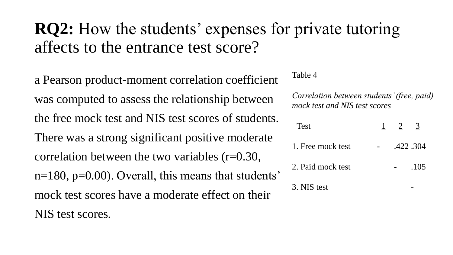#### **RQ2:** How the students' expenses for private tutoring affects to the entrance test score?

a Pearson product-moment correlation coefficient was computed to assess the relationship between the free mock test and NIS test scores of students. There was a strong significant positive moderate correlation between the two variables (r=0.30,  $n=180$ ,  $p=0.00$ ). Overall, this means that students' mock test scores have a moderate effect on their NIS test scores.

Table 4

*Correlation between students' (free, paid) mock test and NIS test scores*

| <b>Test</b>       | $\mathbf{1}$ | $\overline{2}$ | $\frac{3}{2}$ |
|-------------------|--------------|----------------|---------------|
| 1. Free mock test |              |                | .422.304      |
| 2. Paid mock test |              |                | .105          |
| 3. NIS test       |              |                |               |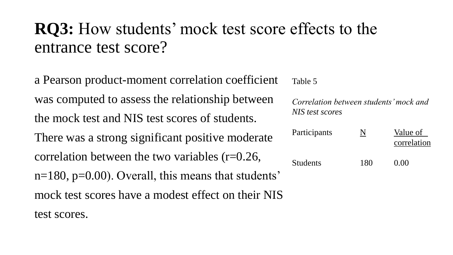#### **RQ3:** How students' mock test score effects to the entrance test score?

a Pearson product-moment correlation coefficient was computed to assess the relationship between the mock test and NIS test scores of students. There was a strong significant positive moderate correlation between the two variables (r=0.26,  $n=180$ ,  $p=0.00$ ). Overall, this means that students' mock test scores have a modest effect on their NIS test scores.

Table 5

*Correlation between students' mock and NIS test scores*

| Participants    | N   | Value of<br>correlation |
|-----------------|-----|-------------------------|
| <b>Students</b> | 180 | 0.00                    |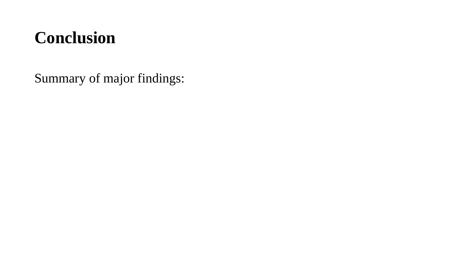#### **Conclusion**

Summary of major findings: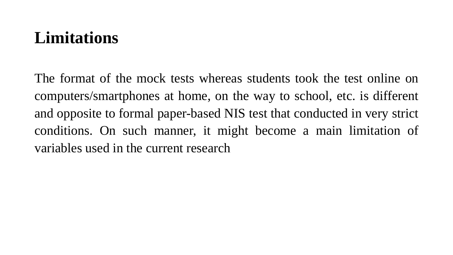#### **Limitations**

The format of the mock tests whereas students took the test online on computers/smartphones at home, on the way to school, etc. is different and opposite to formal paper-based NIS test that conducted in very strict conditions. On such manner, it might become a main limitation of variables used in the current research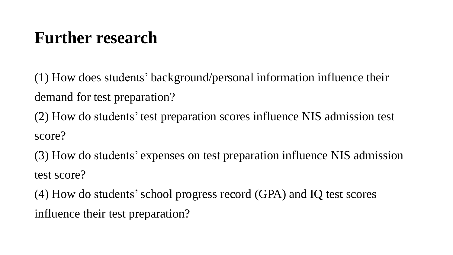#### **Further research**

(1) How does students' background/personal information influence their demand for test preparation?

(2) How do students' test preparation scores influence NIS admission test score?

(3) How do students' expenses on test preparation influence NIS admission test score?

(4) How do students'school progress record (GPA) and IQ test scores influence their test preparation?